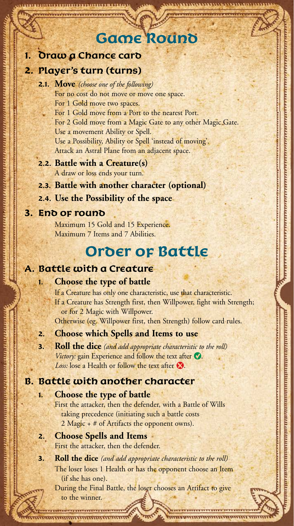## **Game Round**

#### **1. Draw a Chance card**

#### **2. Player's turn (turns)**

| 2.1. Move (choose one of the following)                    |
|------------------------------------------------------------|
| For no cost do not move or move one space.                 |
| For 1 Gold move two spaces.                                |
| For 1 Gold move from a Port to the nearest Port.           |
| For 2 Gold move from a Magic Gate to any other Magic Gate. |
| Use a movement Ability or Spell.                           |
| Use a Possibility, Ability or Spell 'instead of moving'.   |
| Attack an Astral Plane from an adjacent space.             |
| 2.2. Battle with a Creature(s)                             |

- A draw or loss ends your turn.
- **2.3. Battle with another character (optional)**
- **2.4. Use the Possibility of the space**

#### **3. End of round**

 Maximum 15 Gold and 15 Experience. Maximum 7 Items and 7 Abilities.

## **Order of Battle**

#### **A. Battle with a Creature**

#### **1. Choose the type of battle**

If a Creature has only one characteristic, use that characteristic. If a Creature has Strength first, then Willpower, fight with Strength; or for 2 Magic with Willpower. Otherwise (eg. Willpower first, then Strength) follow card rules.

#### **2. Choose which Spells and Items to use**

**3. Roll the dice** *(and add appropriate characteristic to the roll) Victory:* gain Experience and follow the text after  $\bullet$ . *Loss:* lose a Health or follow the text after  $\Omega$ .

#### **B. Battle with another character**

#### **1. Choose the type of battle**

 First the attacker, then the defender, with a Battle of Wills taking precedence (initiating such a battle costs 2 Magic + # of Artifacts the opponent owns).

#### **2. Choose Spells and Items**

First the attacker, then the defender.

**3. Roll the dice** *(and add appropriate characteristic to the roll)* The loser loses 1 Health or has the opponent choose an Item (if she has one).

 During the Final Battle, the loser chooses an Artifact to give to the winner.